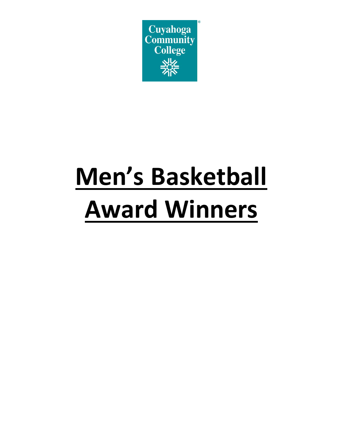

# **Men's Basketball Award Winners**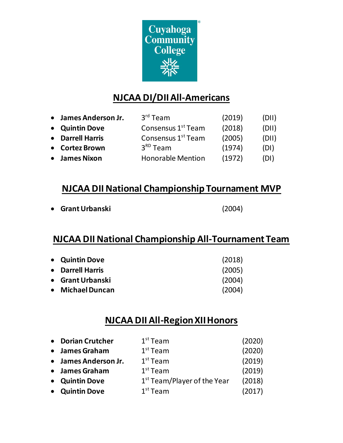

# **NJCAA DI/DIIAll-Americans**

| • James Anderson Jr. | $3rd$ Team                     | (2019) | (DII) |
|----------------------|--------------------------------|--------|-------|
| • Quintin Dove       | Consensus 1 <sup>st</sup> Team | (2018) | (DII) |
| • Darrell Harris     | Consensus 1 <sup>st</sup> Team | (2005) | (DII) |
| • Cortez Brown       | $3RD$ Team                     | (1974) | (DI)  |
| • James Nixon        | <b>Honorable Mention</b>       | (1972) | (DI)  |

## **NJCAA DII National Championship Tournament MVP**

**Grant Urbanski** (2004)

## **NJCAA DII National Championship All-Tournament Team**

| • Quintin Dove   | (2018) |
|------------------|--------|
| • Darrell Harris | (2005) |
| • Grant Urbanski | (2004) |
| • Michael Duncan | (2004) |

### **NJCAA DII All-Region XIIHonors**

| • Dorian Crutcher    | $1st$ Team                    | (2020) |
|----------------------|-------------------------------|--------|
| • James Graham       | $1st$ Team                    | (2020) |
| • James Anderson Jr. | $1st$ Team                    | (2019) |
| • James Graham       | $1st$ Team                    | (2019) |
| • Quintin Dove       | $1st$ Team/Player of the Year | (2018) |
| • Quintin Dove       | $1st$ Team                    | (2017) |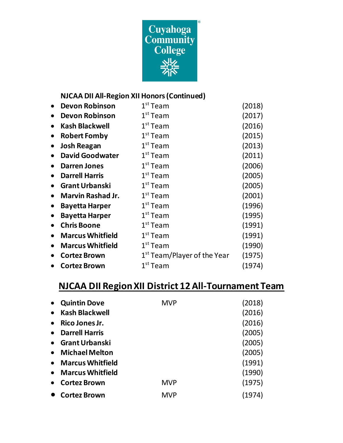

#### **NJCAA DII All-Region XII Honors (Continued)**

|           | <b>Devon Robinson</b>    | $1st$ Team                              | (2018) |
|-----------|--------------------------|-----------------------------------------|--------|
| $\bullet$ | <b>Devon Robinson</b>    | $1st$ Team                              | (2017) |
|           | <b>Kash Blackwell</b>    | $1st$ Team                              | (2016) |
| $\bullet$ | <b>Robert Fomby</b>      | $1st$ Team                              | (2015) |
| $\bullet$ | <b>Josh Reagan</b>       | $1st$ Team                              | (2013) |
| $\bullet$ | <b>David Goodwater</b>   | $1st$ Team                              | (2011) |
| $\bullet$ | <b>Darren Jones</b>      | $1st$ Team                              | (2006) |
|           | <b>Darrell Harris</b>    | $1st$ Team                              | (2005) |
|           | <b>Grant Urbanski</b>    | $1st$ Team                              | (2005) |
| $\bullet$ | <b>Marvin Rashad Jr.</b> | $1st$ Team                              | (2001) |
| $\bullet$ | <b>Bayetta Harper</b>    | $1st$ Team                              | (1996) |
| $\bullet$ | <b>Bayetta Harper</b>    | $1st$ Team                              | (1995) |
|           | <b>Chris Boone</b>       | $1st$ Team                              | (1991) |
|           | <b>Marcus Whitfield</b>  | $1st$ Team                              | (1991) |
| $\bullet$ | <b>Marcus Whitfield</b>  | $1st$ Team                              | (1990) |
|           | <b>Cortez Brown</b>      | 1 <sup>st</sup> Team/Player of the Year | (1975) |
|           | <b>Cortez Brown</b>      | $1st$ Team                              | (1974) |

# **NJCAA DII RegionXII District 12 All-Tournament Team**

|           | <b>Quintin Dove</b>     | <b>MVP</b> | (2018) |
|-----------|-------------------------|------------|--------|
| $\bullet$ | <b>Kash Blackwell</b>   |            | (2016) |
|           | Rico Jones Jr.          |            | (2016) |
| $\bullet$ | <b>Darrell Harris</b>   |            | (2005) |
| $\bullet$ | <b>Grant Urbanski</b>   |            | (2005) |
| $\bullet$ | <b>Michael Melton</b>   |            | (2005) |
| $\bullet$ | <b>Marcus Whitfield</b> |            | (1991) |
| $\bullet$ | <b>Marcus Whitfield</b> |            | (1990) |
|           | <b>Cortez Brown</b>     | <b>MVP</b> | (1975) |
|           | <b>Cortez Brown</b>     | <b>MVP</b> | (1974) |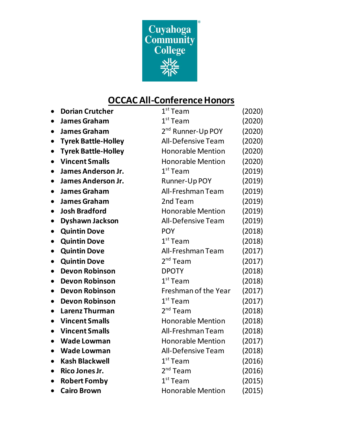

# **OCCAC All-Conference Honors**

| <b>Dorian Crutcher</b>                  | $1st$ Team                    | (2020) |
|-----------------------------------------|-------------------------------|--------|
| <b>James Graham</b><br>$\bullet$        | $1st$ Team                    | (2020) |
| <b>James Graham</b><br>$\bullet$        | 2 <sup>nd</sup> Runner-Up POY | (2020) |
| <b>Tyrek Battle-Holley</b>              | <b>All-Defensive Team</b>     | (2020) |
| <b>Tyrek Battle-Holley</b><br>$\bullet$ | <b>Honorable Mention</b>      | (2020) |
| <b>Vincent Smalls</b>                   | <b>Honorable Mention</b>      | (2020) |
| <b>James Anderson Jr.</b><br>$\bullet$  | $1st$ Team                    | (2019) |
| James Anderson Jr.<br>$\bullet$         | Runner-Up POY                 | (2019) |
| <b>James Graham</b><br>$\bullet$        | All-Freshman Team             | (2019) |
| <b>James Graham</b><br>$\bullet$        | 2nd Team                      | (2019) |
| <b>Josh Bradford</b>                    | <b>Honorable Mention</b>      | (2019) |
| <b>Dyshawn Jackson</b><br>$\bullet$     | <b>All-Defensive Team</b>     | (2019) |
| <b>Quintin Dove</b><br>$\bullet$        | <b>POY</b>                    | (2018) |
| <b>Quintin Dove</b><br>$\bullet$        | $1st$ Team                    | (2018) |
| <b>Quintin Dove</b><br>$\bullet$        | All-Freshman Team             | (2017) |
| <b>Quintin Dove</b><br>$\bullet$        | 2 <sup>nd</sup> Team          | (2017) |
| <b>Devon Robinson</b><br>$\bullet$      | <b>DPOTY</b>                  | (2018) |
| <b>Devon Robinson</b>                   | $1st$ Team                    | (2018) |
| <b>Devon Robinson</b><br>$\bullet$      | Freshman of the Year          | (2017) |
| <b>Devon Robinson</b><br>$\bullet$      | $1st$ Team                    | (2017) |
| <b>Larenz Thurman</b>                   | $2nd$ Team                    | (2018) |
| <b>Vincent Smalls</b><br>$\bullet$      | <b>Honorable Mention</b>      | (2018) |
| <b>Vincent Smalls</b>                   | All-Freshman Team             | (2018) |
| <b>Wade Lowman</b>                      | <b>Honorable Mention</b>      | (2017) |
| <b>Wade Lowman</b><br>$\bullet$         | <b>All-Defensive Team</b>     | (2018) |
| <b>Kash Blackwell</b><br>$\bullet$      | $1st$ Team                    | (2016) |
| Rico Jones Jr.<br>$\bullet$             | 2 <sup>nd</sup> Team          | (2016) |
| <b>Robert Fomby</b>                     | $1st$ Team                    | (2015) |
| <b>Cairo Brown</b><br>$\bullet$         | <b>Honorable Mention</b>      | (2015) |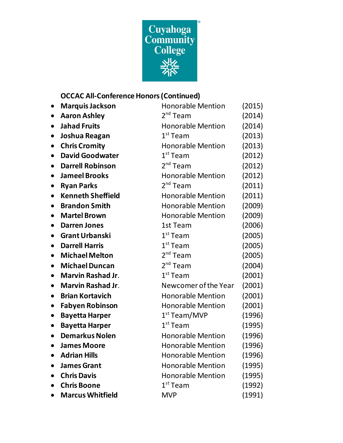

#### **OCCAC All-Conference Honors (Continued)**

| <b>Marquis Jackson</b><br>$\bullet$   | <b>Honorable Mention</b> | (2015) |
|---------------------------------------|--------------------------|--------|
| <b>Aaron Ashley</b>                   | 2 <sup>nd</sup> Team     | (2014) |
| <b>Jahad Fruits</b><br>$\bullet$      | <b>Honorable Mention</b> | (2014) |
| Joshua Reagan<br>$\bullet$            | $1st$ Team               | (2013) |
| <b>Chris Cromity</b>                  | <b>Honorable Mention</b> | (2013) |
| <b>David Goodwater</b>                | $1st$ Team               | (2012) |
| <b>Darrell Robinson</b>               | $2nd$ Team               | (2012) |
| <b>Jameel Brooks</b>                  | <b>Honorable Mention</b> | (2012) |
| <b>Ryan Parks</b>                     | 2 <sup>nd</sup> Team     | (2011) |
| <b>Kenneth Sheffield</b>              | <b>Honorable Mention</b> | (2011) |
| <b>Brandon Smith</b>                  | <b>Honorable Mention</b> | (2009) |
| <b>Martel Brown</b>                   | <b>Honorable Mention</b> | (2009) |
| <b>Darren Jones</b>                   | 1st Team                 | (2006) |
| <b>Grant Urbanski</b>                 | $1st$ Team               | (2005) |
| <b>Darrell Harris</b>                 | $1st$ Team               | (2005) |
| <b>Michael Melton</b><br>$\bullet$    | 2 <sup>nd</sup> Team     | (2005) |
| <b>Michael Duncan</b>                 | $2nd$ Team               | (2004) |
| <b>Marvin Rashad Jr.</b><br>$\bullet$ | $1st$ Team               | (2001) |
| <b>Marvin Rashad Jr.</b><br>$\bullet$ | Newcomer of the Year     | (2001) |
| <b>Brian Kortavich</b><br>$\bullet$   | <b>Honorable Mention</b> | (2001) |
| <b>Fabyen Robinson</b><br>$\bullet$   | <b>Honorable Mention</b> | (2001) |
| <b>Bayetta Harper</b><br>$\bullet$    | $1st$ Team/MVP           | (1996) |
| <b>Bayetta Harper</b><br>$\bullet$    | $1st$ Team               | (1995) |
| <b>Demarkus Nolen</b><br>$\bullet$    | <b>Honorable Mention</b> | (1996) |
| <b>James Moore</b><br>$\bullet$       | <b>Honorable Mention</b> | (1996) |
| <b>Adrian Hills</b>                   | <b>Honorable Mention</b> | (1996) |
| <b>James Grant</b>                    | <b>Honorable Mention</b> | (1995) |
| <b>Chris Davis</b>                    | <b>Honorable Mention</b> | (1995) |
| <b>Chris Boone</b>                    | $1st$ Team               | (1992) |
| <b>Marcus Whitfield</b>               | <b>MVP</b>               | (1991) |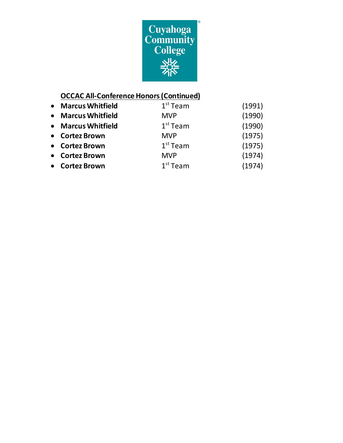

#### **OCCAC All-Conference Honors(Continued)**

| • Marcus Whitfield | $1st$ Team | (1991) |
|--------------------|------------|--------|
| • Marcus Whitfield | <b>MVP</b> | (1990) |
| • Marcus Whitfield | $1st$ Team | (1990) |
| • Cortez Brown     | <b>MVP</b> | (1975) |
| • Cortez Brown     | $1st$ Team | (1975) |
| • Cortez Brown     | <b>MVP</b> | (1974) |
| • Cortez Brown     | $1st$ Team | (1974) |